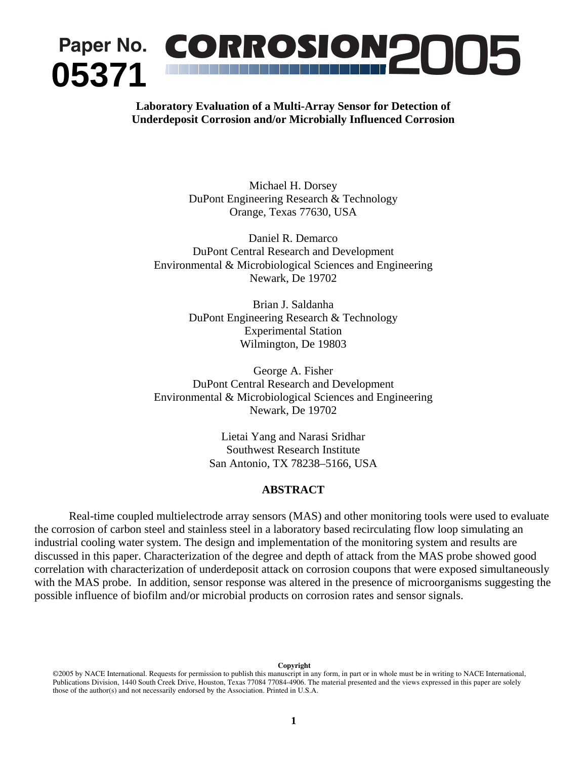# **<sup>05371</sup> Paper No.** *CORROSION***<sup>2005</sup>**

# **Laboratory Evaluation of a Multi-Array Sensor for Detection of Underdeposit Corrosion and/or Microbially Influenced Corrosion**

Michael H. Dorsey DuPont Engineering Research & Technology Orange, Texas 77630, USA

Daniel R. Demarco DuPont Central Research and Development Environmental & Microbiological Sciences and Engineering Newark, De 19702

> Brian J. Saldanha DuPont Engineering Research & Technology Experimental Station Wilmington, De 19803

George A. Fisher DuPont Central Research and Development Environmental & Microbiological Sciences and Engineering Newark, De 19702

> Lietai Yang and Narasi Sridhar Southwest Research Institute San Antonio, TX 78238–5166, USA

## **ABSTRACT**

Real-time coupled multielectrode array sensors (MAS) and other monitoring tools were used to evaluate the corrosion of carbon steel and stainless steel in a laboratory based recirculating flow loop simulating an industrial cooling water system. The design and implementation of the monitoring system and results are discussed in this paper. Characterization of the degree and depth of attack from the MAS probe showed good correlation with characterization of underdeposit attack on corrosion coupons that were exposed simultaneously with the MAS probe. In addition, sensor response was altered in the presence of microorganisms suggesting the possible influence of biofilm and/or microbial products on corrosion rates and sensor signals.

 **Copyright** 

<sup>©2005</sup> by NACE International. Requests for permission to publish this manuscript in any form, in part or in whole must be in writing to NACE International, Publications Division, 1440 South Creek Drive, Houston, Texas 77084 77084-4906. The material presented and the views expressed in this paper are solely those of the author(s) and not necessarily endorsed by the Association. Printed in U.S.A.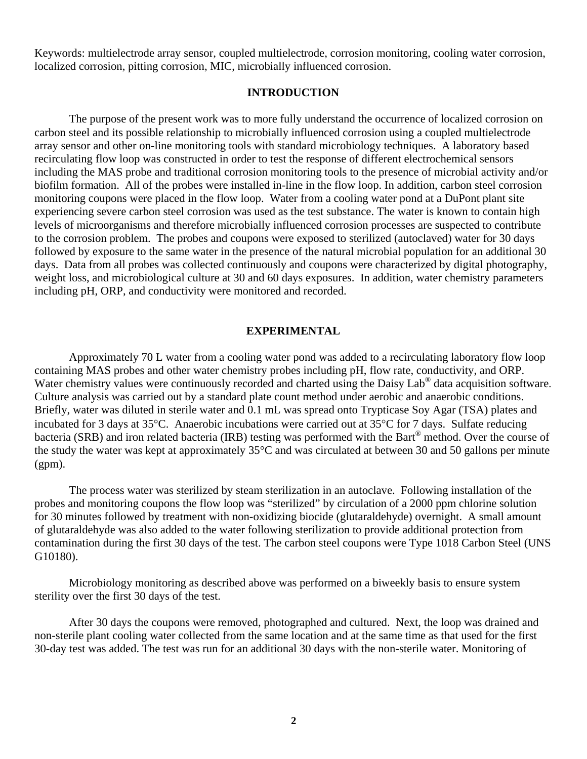Keywords: multielectrode array sensor, coupled multielectrode, corrosion monitoring, cooling water corrosion, localized corrosion, pitting corrosion, MIC, microbially influenced corrosion.

## **INTRODUCTION**

The purpose of the present work was to more fully understand the occurrence of localized corrosion on carbon steel and its possible relationship to microbially influenced corrosion using a coupled multielectrode array sensor and other on-line monitoring tools with standard microbiology techniques. A laboratory based recirculating flow loop was constructed in order to test the response of different electrochemical sensors including the MAS probe and traditional corrosion monitoring tools to the presence of microbial activity and/or biofilm formation. All of the probes were installed in-line in the flow loop. In addition, carbon steel corrosion monitoring coupons were placed in the flow loop. Water from a cooling water pond at a DuPont plant site experiencing severe carbon steel corrosion was used as the test substance. The water is known to contain high levels of microorganisms and therefore microbially influenced corrosion processes are suspected to contribute to the corrosion problem. The probes and coupons were exposed to sterilized (autoclaved) water for 30 days followed by exposure to the same water in the presence of the natural microbial population for an additional 30 days. Data from all probes was collected continuously and coupons were characterized by digital photography, weight loss, and microbiological culture at 30 and 60 days exposures. In addition, water chemistry parameters including pH, ORP, and conductivity were monitored and recorded.

## **EXPERIMENTAL**

Approximately 70 L water from a cooling water pond was added to a recirculating laboratory flow loop containing MAS probes and other water chemistry probes including pH, flow rate, conductivity, and ORP. Water chemistry values were continuously recorded and charted using the Daisy Lab<sup>®</sup> data acquisition software. Culture analysis was carried out by a standard plate count method under aerobic and anaerobic conditions. Briefly, water was diluted in sterile water and 0.1 mL was spread onto Trypticase Soy Agar (TSA) plates and incubated for 3 days at 35°C. Anaerobic incubations were carried out at 35°C for 7 days. Sulfate reducing bacteria (SRB) and iron related bacteria (IRB) testing was performed with the Bart® method. Over the course of the study the water was kept at approximately 35°C and was circulated at between 30 and 50 gallons per minute (gpm).

The process water was sterilized by steam sterilization in an autoclave. Following installation of the probes and monitoring coupons the flow loop was "sterilized" by circulation of a 2000 ppm chlorine solution for 30 minutes followed by treatment with non-oxidizing biocide (glutaraldehyde) overnight. A small amount of glutaraldehyde was also added to the water following sterilization to provide additional protection from contamination during the first 30 days of the test. The carbon steel coupons were Type 1018 Carbon Steel (UNS G10180).

Microbiology monitoring as described above was performed on a biweekly basis to ensure system sterility over the first 30 days of the test.

After 30 days the coupons were removed, photographed and cultured. Next, the loop was drained and non-sterile plant cooling water collected from the same location and at the same time as that used for the first 30-day test was added. The test was run for an additional 30 days with the non-sterile water. Monitoring of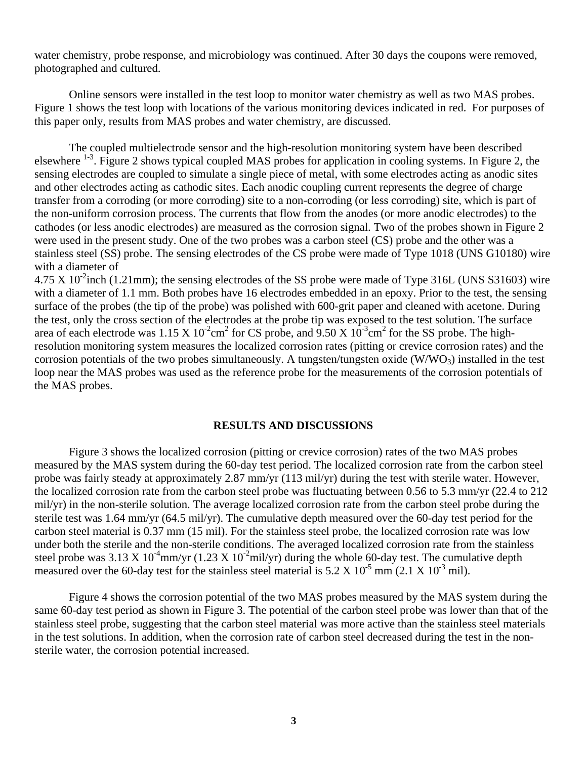water chemistry, probe response, and microbiology was continued. After 30 days the coupons were removed, photographed and cultured.

 Online sensors were installed in the test loop to monitor water chemistry as well as two MAS probes. Figure 1 shows the test loop with locations of the various monitoring devices indicated in red. For purposes of this paper only, results from MAS probes and water chemistry, are discussed.

The coupled multielectrode sensor and the high-resolution monitoring system have been described elsewhere  $1-3$ . Figure 2 shows typical coupled MAS probes for application in cooling systems. In Figure 2, the sensing electrodes are coupled to simulate a single piece of metal, with some electrodes acting as anodic sites and other electrodes acting as cathodic sites. Each anodic coupling current represents the degree of charge transfer from a corroding (or more corroding) site to a non-corroding (or less corroding) site, which is part of the non-uniform corrosion process. The currents that flow from the anodes (or more anodic electrodes) to the cathodes (or less anodic electrodes) are measured as the corrosion signal. Two of the probes shown in Figure 2 were used in the present study. One of the two probes was a carbon steel (CS) probe and the other was a stainless steel (SS) probe. The sensing electrodes of the CS probe were made of Type 1018 (UNS G10180) wire with a diameter of

 $4.75 \text{ X } 10^{-2}$ inch (1.21mm); the sensing electrodes of the SS probe were made of Type 316L (UNS S31603) wire with a diameter of 1.1 mm. Both probes have 16 electrodes embedded in an epoxy. Prior to the test, the sensing surface of the probes (the tip of the probe) was polished with 600-grit paper and cleaned with acetone. During the test, only the cross section of the electrodes at the probe tip was exposed to the test solution. The surface area of each electrode was  $1.15 \text{ X } 10^{-2} \text{cm}^2$  for CS probe, and  $9.50 \text{ X } 10^{-3} \text{cm}^2$  for the SS probe. The highresolution monitoring system measures the localized corrosion rates (pitting or crevice corrosion rates) and the corrosion potentials of the two probes simultaneously. A tungsten/tungsten oxide  $(W/WO<sub>3</sub>)$  installed in the test loop near the MAS probes was used as the reference probe for the measurements of the corrosion potentials of the MAS probes.

#### **RESULTS AND DISCUSSIONS**

Figure 3 shows the localized corrosion (pitting or crevice corrosion) rates of the two MAS probes measured by the MAS system during the 60-day test period. The localized corrosion rate from the carbon steel probe was fairly steady at approximately 2.87 mm/yr (113 mil/yr) during the test with sterile water. However, the localized corrosion rate from the carbon steel probe was fluctuating between 0.56 to 5.3 mm/yr (22.4 to 212 mil/yr) in the non-sterile solution. The average localized corrosion rate from the carbon steel probe during the sterile test was 1.64 mm/yr (64.5 mil/yr). The cumulative depth measured over the 60-day test period for the carbon steel material is 0.37 mm (15 mil). For the stainless steel probe, the localized corrosion rate was low under both the sterile and the non-sterile conditions. The averaged localized corrosion rate from the stainless steel probe was 3.13 X 10<sup>-4</sup>mm/yr (1.23 X 10<sup>-2</sup>mil/yr) during the whole 60-day test. The cumulative depth measured over the 60-day test for the stainless steel material is  $5.2 \times 10^{-5}$  mm (2.1 X  $10^{-3}$  mil).

Figure 4 shows the corrosion potential of the two MAS probes measured by the MAS system during the same 60-day test period as shown in Figure 3. The potential of the carbon steel probe was lower than that of the stainless steel probe, suggesting that the carbon steel material was more active than the stainless steel materials in the test solutions. In addition, when the corrosion rate of carbon steel decreased during the test in the nonsterile water, the corrosion potential increased.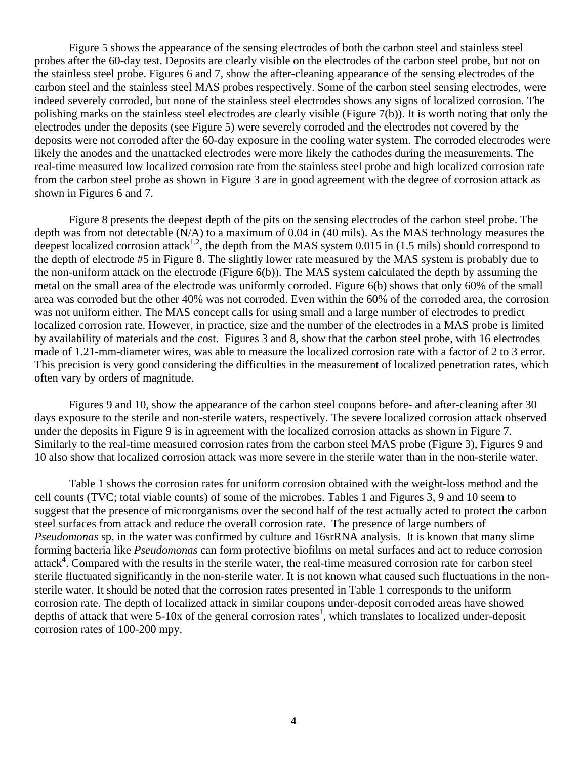Figure 5 shows the appearance of the sensing electrodes of both the carbon steel and stainless steel probes after the 60-day test. Deposits are clearly visible on the electrodes of the carbon steel probe, but not on the stainless steel probe. Figures 6 and 7, show the after-cleaning appearance of the sensing electrodes of the carbon steel and the stainless steel MAS probes respectively. Some of the carbon steel sensing electrodes, were indeed severely corroded, but none of the stainless steel electrodes shows any signs of localized corrosion. The polishing marks on the stainless steel electrodes are clearly visible (Figure 7(b)). It is worth noting that only the electrodes under the deposits (see Figure 5) were severely corroded and the electrodes not covered by the deposits were not corroded after the 60-day exposure in the cooling water system. The corroded electrodes were likely the anodes and the unattacked electrodes were more likely the cathodes during the measurements. The real-time measured low localized corrosion rate from the stainless steel probe and high localized corrosion rate from the carbon steel probe as shown in Figure 3 are in good agreement with the degree of corrosion attack as shown in Figures 6 and 7.

 Figure 8 presents the deepest depth of the pits on the sensing electrodes of the carbon steel probe. The depth was from not detectable (N/A) to a maximum of 0.04 in (40 mils). As the MAS technology measures the deepest localized corrosion attack<sup>1,2</sup>, the depth from the MAS system 0.015 in (1.5 mils) should correspond to the depth of electrode #5 in Figure 8. The slightly lower rate measured by the MAS system is probably due to the non-uniform attack on the electrode (Figure 6(b)). The MAS system calculated the depth by assuming the metal on the small area of the electrode was uniformly corroded. Figure 6(b) shows that only 60% of the small area was corroded but the other 40% was not corroded. Even within the 60% of the corroded area, the corrosion was not uniform either. The MAS concept calls for using small and a large number of electrodes to predict localized corrosion rate. However, in practice, size and the number of the electrodes in a MAS probe is limited by availability of materials and the cost. Figures 3 and 8, show that the carbon steel probe, with 16 electrodes made of 1.21-mm-diameter wires, was able to measure the localized corrosion rate with a factor of 2 to 3 error. This precision is very good considering the difficulties in the measurement of localized penetration rates, which often vary by orders of magnitude.

Figures 9 and 10, show the appearance of the carbon steel coupons before- and after-cleaning after 30 days exposure to the sterile and non-sterile waters, respectively. The severe localized corrosion attack observed under the deposits in Figure 9 is in agreement with the localized corrosion attacks as shown in Figure 7. Similarly to the real-time measured corrosion rates from the carbon steel MAS probe (Figure 3), Figures 9 and 10 also show that localized corrosion attack was more severe in the sterile water than in the non-sterile water.

Table 1 shows the corrosion rates for uniform corrosion obtained with the weight-loss method and the cell counts (TVC; total viable counts) of some of the microbes. Tables 1 and Figures 3, 9 and 10 seem to suggest that the presence of microorganisms over the second half of the test actually acted to protect the carbon steel surfaces from attack and reduce the overall corrosion rate. The presence of large numbers of *Pseudomonas* sp. in the water was confirmed by culture and 16srRNA analysis. It is known that many slime forming bacteria like *Pseudomonas* can form protective biofilms on metal surfaces and act to reduce corrosion attack<sup>4</sup>. Compared with the results in the sterile water, the real-time measured corrosion rate for carbon steel sterile fluctuated significantly in the non-sterile water. It is not known what caused such fluctuations in the nonsterile water. It should be noted that the corrosion rates presented in Table 1 corresponds to the uniform corrosion rate. The depth of localized attack in similar coupons under-deposit corroded areas have showed depths of attack that were  $5-10x$  of the general corrosion rates<sup>1</sup>, which translates to localized under-deposit corrosion rates of 100-200 mpy.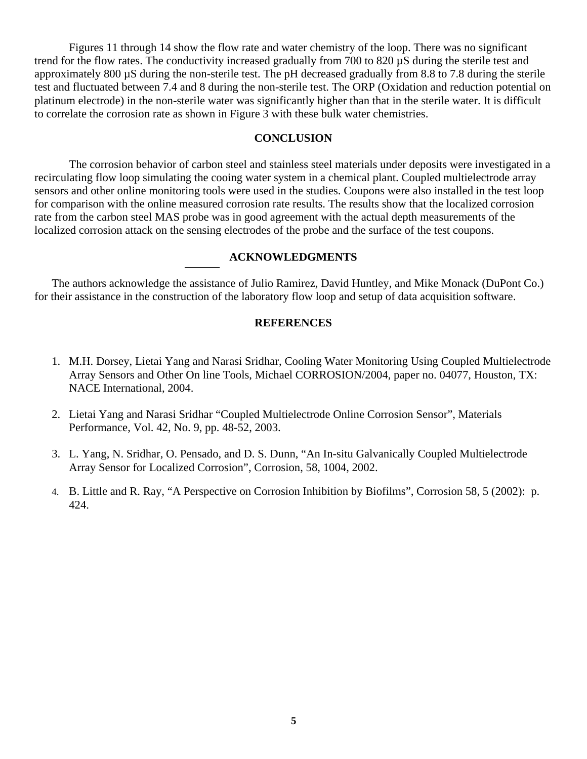Figures 11 through 14 show the flow rate and water chemistry of the loop. There was no significant trend for the flow rates. The conductivity increased gradually from 700 to 820 µS during the sterile test and approximately 800 µS during the non-sterile test. The pH decreased gradually from 8.8 to 7.8 during the sterile test and fluctuated between 7.4 and 8 during the non-sterile test. The ORP (Oxidation and reduction potential on platinum electrode) in the non-sterile water was significantly higher than that in the sterile water. It is difficult to correlate the corrosion rate as shown in Figure 3 with these bulk water chemistries.

# **CONCLUSION**

The corrosion behavior of carbon steel and stainless steel materials under deposits were investigated in a recirculating flow loop simulating the cooing water system in a chemical plant. Coupled multielectrode array sensors and other online monitoring tools were used in the studies. Coupons were also installed in the test loop for comparison with the online measured corrosion rate results. The results show that the localized corrosion rate from the carbon steel MAS probe was in good agreement with the actual depth measurements of the localized corrosion attack on the sensing electrodes of the probe and the surface of the test coupons.

## **ACKNOWLEDGMENTS**

The authors acknowledge the assistance of Julio Ramirez, David Huntley, and Mike Monack (DuPont Co.) for their assistance in the construction of the laboratory flow loop and setup of data acquisition software.

# **REFERENCES**

- 1. M.H. Dorsey, Lietai Yang and Narasi Sridhar, Cooling Water Monitoring Using Coupled Multielectrode Array Sensors and Other On line Tools, Michael CORROSION/2004, paper no. 04077, Houston, TX: NACE International, 2004.
- 2. Lietai Yang and Narasi Sridhar "Coupled Multielectrode Online Corrosion Sensor", Materials Performance, Vol. 42, No. 9, pp. 48-52, 2003.
- 3. L. Yang, N. Sridhar, O. Pensado, and D. S. Dunn, "An In-situ Galvanically Coupled Multielectrode Array Sensor for Localized Corrosion", Corrosion, 58, 1004, 2002.
- 4. B. Little and R. Ray, "A Perspective on Corrosion Inhibition by Biofilms", Corrosion 58, 5 (2002): p. 424.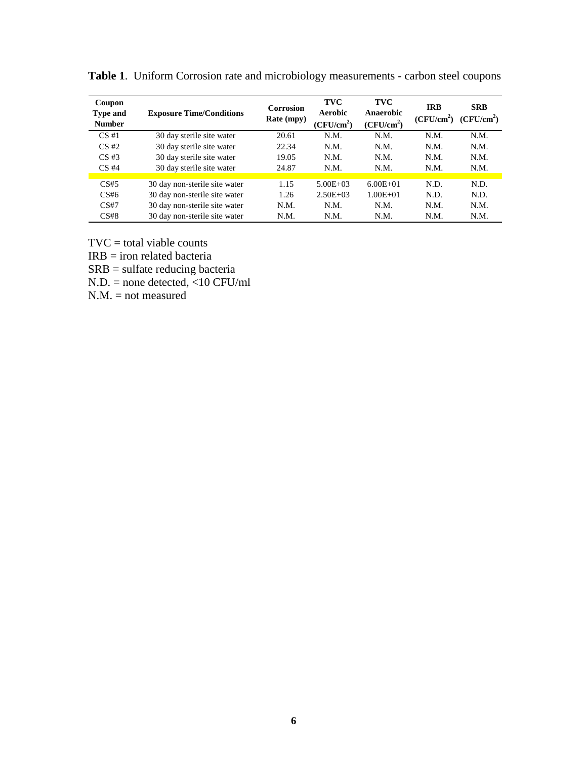| Coupon<br><b>Type and</b><br><b>Number</b> | <b>Exposure Time/Conditions</b> | <b>Corrosion</b><br>Rate (mpy) | <b>TVC</b><br><b>Aerobic</b><br>(CFU/cm <sup>2</sup> ) | <b>TVC</b><br>Anaerobic<br>(CFU/cm <sup>2</sup> ) | <b>IRB</b><br>(CFU/cm <sup>2</sup> ) | <b>SRB</b><br>(CFU/cm <sup>2</sup> ) |
|--------------------------------------------|---------------------------------|--------------------------------|--------------------------------------------------------|---------------------------------------------------|--------------------------------------|--------------------------------------|
| CS#1                                       | 30 day sterile site water       | 20.61                          | N.M.                                                   | N.M.                                              | N.M.                                 | N.M.                                 |
| $CS \#2$                                   | 30 day sterile site water       | 22.34                          | N.M.                                                   | N.M.                                              | N.M.                                 | N.M.                                 |
| $CS \#3$                                   | 30 day sterile site water       | 19.05                          | N.M.                                                   | N.M.                                              | N.M.                                 | N.M.                                 |
| $CS$ #4                                    | 30 day sterile site water       | 24.87                          | N.M.                                                   | N.M.                                              | N.M.                                 | N.M.                                 |
|                                            |                                 |                                |                                                        |                                                   |                                      |                                      |
| CS#5                                       | 30 day non-sterile site water   | 1.15                           | $5.00E + 03$                                           | $6.00E + 01$                                      | N.D.                                 | N.D.                                 |
| CS#6                                       | 30 day non-sterile site water   | 1.26                           | $2.50E + 03$                                           | $1.00E + 01$                                      | N.D.                                 | N.D.                                 |
| CS#7                                       | 30 day non-sterile site water   | N.M.                           | N.M.                                                   | N.M.                                              | N.M.                                 | N.M.                                 |
| CS#8                                       | 30 day non-sterile site water   | N.M.                           | N.M.                                                   | N.M.                                              | N.M.                                 | N.M.                                 |

**Table 1**. Uniform Corrosion rate and microbiology measurements - carbon steel coupons

 $TVC = total viable counts$ 

IRB = iron related bacteria

SRB = sulfate reducing bacteria

N.D. = none detected, <10 CFU/ml

 $N.M.$  = not measured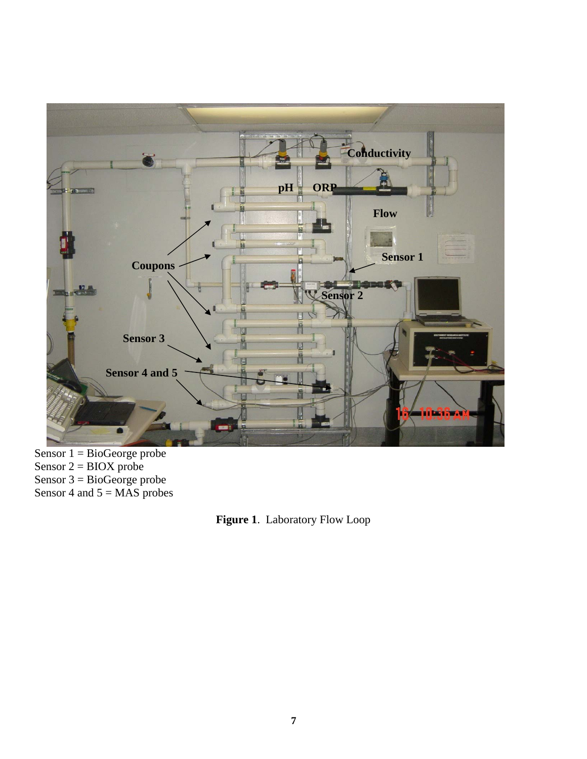

Sensor  $1 = BioGeorge probe$ Sensor  $2 = BIOX$  probe Sensor 3 = BioGeorge probe Sensor 4 and  $5 = \overline{MAS}$  probes

**Figure 1**. Laboratory Flow Loop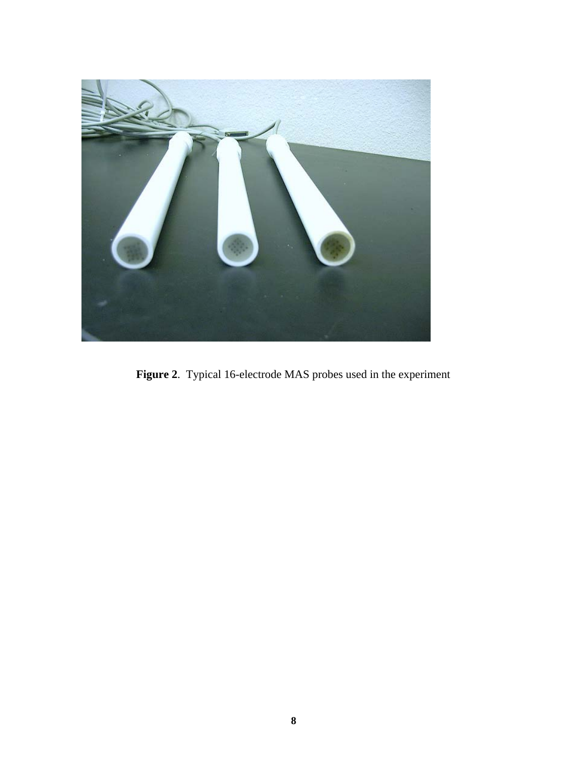

**Figure 2**. Typical 16-electrode MAS probes used in the experiment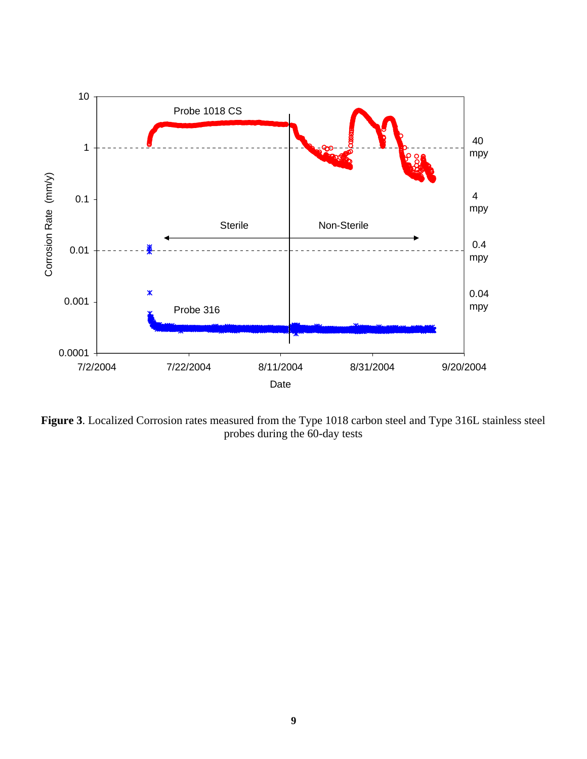

**Figure 3**. Localized Corrosion rates measured from the Type 1018 carbon steel and Type 316L stainless steel probes during the 60-day tests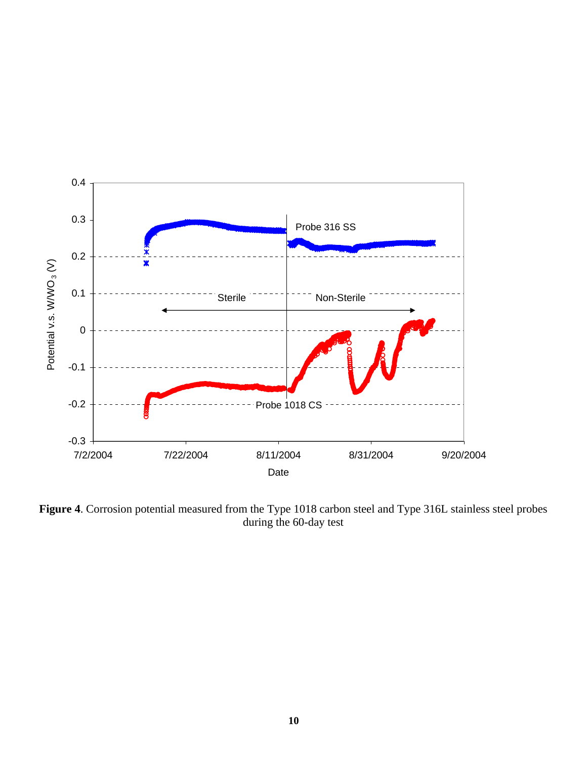

**Figure 4**. Corrosion potential measured from the Type 1018 carbon steel and Type 316L stainless steel probes during the 60-day test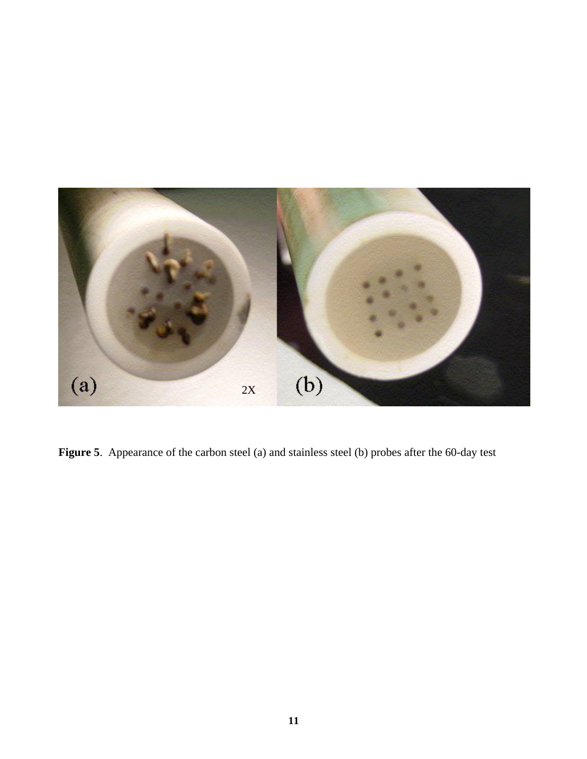

Figure 5. Appearance of the carbon steel (a) and stainless steel (b) probes after the 60-day test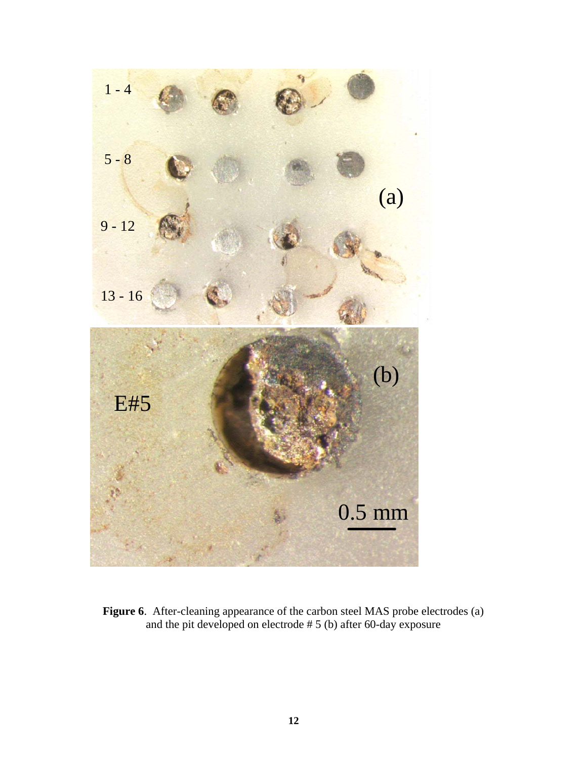

**Figure 6**. After-cleaning appearance of the carbon steel MAS probe electrodes (a) and the pit developed on electrode # 5 (b) after 60-day exposure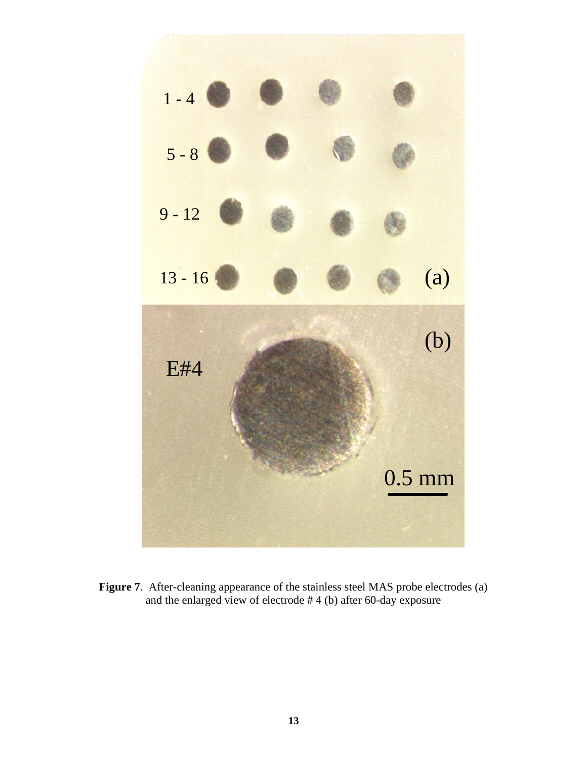

Figure 7. After-cleaning appearance of the stainless steel MAS probe electrodes (a) and the enlarged view of electrode # 4 (b) after 60-day exposure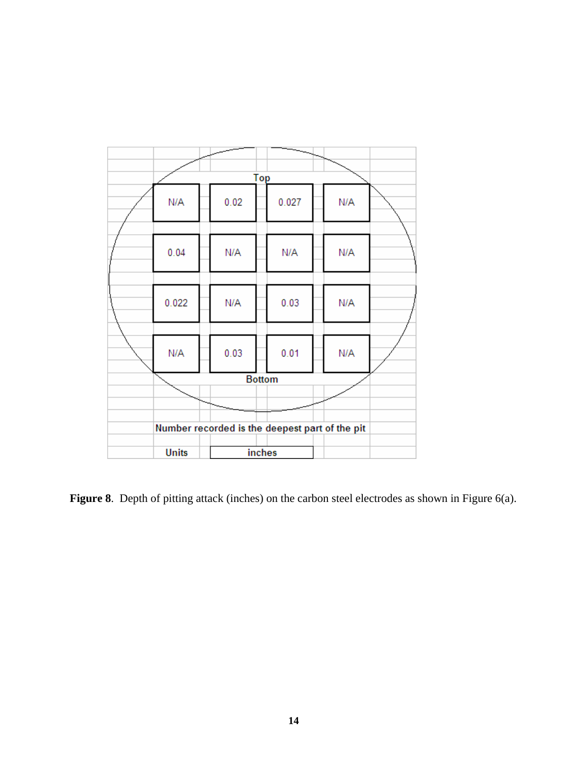

Figure 8. Depth of pitting attack (inches) on the carbon steel electrodes as shown in Figure 6(a).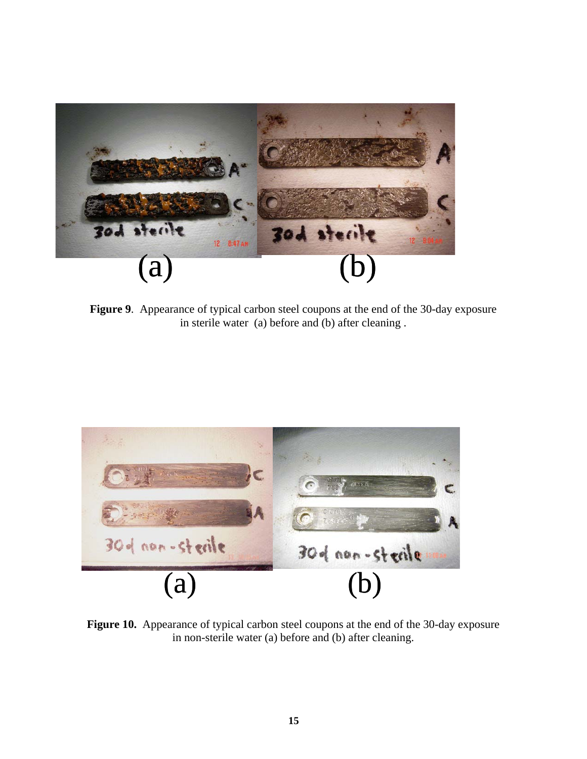

**Figure 9**. Appearance of typical carbon steel coupons at the end of the 30-day exposure in sterile water (a) before and (b) after cleaning .



Figure 10. Appearance of typical carbon steel coupons at the end of the 30-day exposure in non-sterile water (a) before and (b) after cleaning.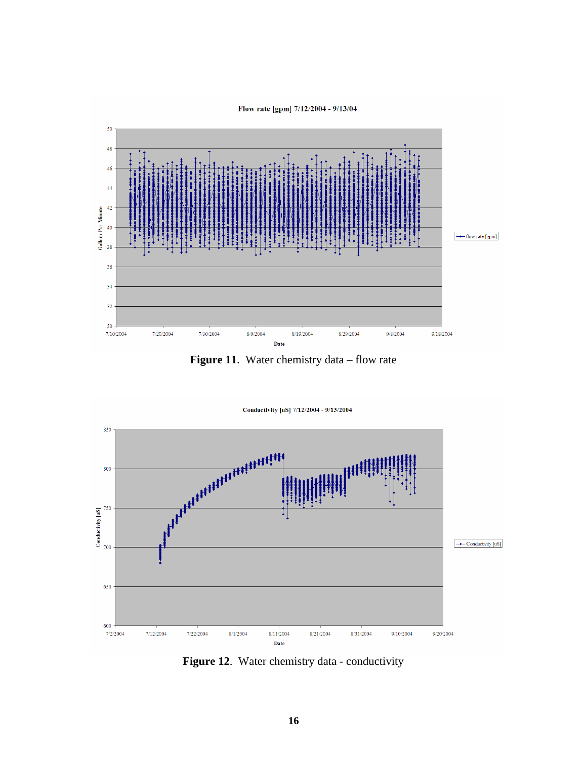#### Flow rate [gpm] 7/12/2004 - 9/13/04



Figure 11. Water chemistry data – flow rate



Figure 12. Water chemistry data - conductivity